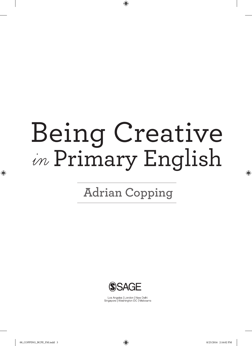$\bigoplus$ 

# **Adrian Copping**



Los Angeles | London | New Delhi<br>Singapore | Washington DC | Melbourne

00\_COPPING\_BCPE\_FM.indd 3 8/25/2016 2:16:02 PM

⊕

 $\bigoplus$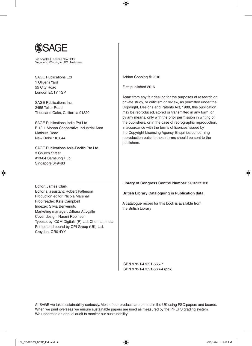

Los Angeles | London | New Delhi Singapore | Washington DC | Melbourne

SAGE Publications Ltd 1 Oliver's Yard 55 City Road London EC1Y 1SP

SAGE Publications Inc. 2455 Teller Road Thousand Oaks, California 91320

SAGE Publications India Pvt Ltd B 1/I 1 Mohan Cooperative Industrial Area Mathura Road New Delhi 110 044

SAGE Publications Asia-Pacific Pte Ltd 3 Church Street #10-04 Samsung Hub Singapore 049483

Editorial assistant: Robert Patterson Production editor: Nicola Marshall Proofreader: Kate Campbell Indexer: Silvia Benvenuto

Marketing manager: Dilhara Attygalle Cover design: Naomi Robinson

Typeset by: C&M Digitals (P) Ltd, Chennai, India Printed and bound by CPI Group (UK) Ltd,

Editor: James Clark

Croydon, CR0 4YY

Adrian Copping © 2016

First published 2016

 $\bigoplus$ 

Apart from any fair dealing for the purposes of research or private study, or criticism or review, as permitted under the Copyright, Designs and Patents Act, 1988, this publication may be reproduced, stored or transmitted in any form, or by any means, only with the prior permission in writing of the publishers, or in the case of reprographic reproduction, in accordance with the terms of licences issued by the Copyright Licensing Agency. Enquiries concerning reproduction outside those terms should be sent to the publishers.

**Library of Congress Control Number:** 2016932128

#### **British Library Cataloguing in Publication data**

A catalogue record for this book is available from the British Library

ISBN 978-1-47391-566-4 (pbk)

At SAGE we take sustainability seriously. Most of our products are printed in the UK using FSC papers and boards. When we print overseas we ensure sustainable papers are used as measured by the PREPS grading system. We undertake an annual audit to monitor our sustainability.

⊕

ISBN 978-1-47391-565-7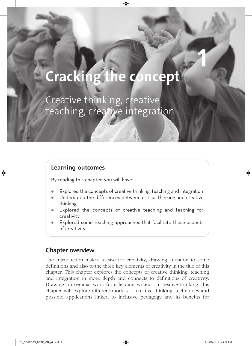$\bigoplus$ 

Creative thinking, creative teaching, creative integration

# **Learning outcomes**

By reading this chapter, you will have:

- Explored the concepts of creative thinking, teaching and integration
- Understood the differences between critical thinking and creative thinking
- Explored the concepts of creative teaching and teaching for creativity
- Explored some teaching approaches that facilitate these aspects of creativity

# **Chapter overview**

The Introduction makes a case for creativity, drawing attention to some definitions and also to the three key elements of creativity in the title of this chapter. This chapter explores the concepts of creative thinking, teaching and integration in more depth and connects to definitions of creativity. Drawing on seminal work from leading writers on creative thinking, this chapter will explore different models of creative thinking, techniques and possible applications linked to inclusive pedagogy and its benefits for

⊕

⊕

**1**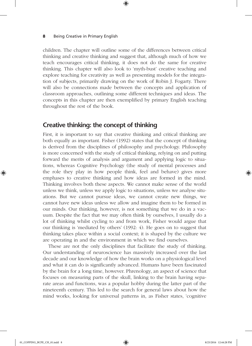children. The chapter will outline some of the differences between critical thinking and creative thinking and suggest that, although much of how we teach encourages critical thinking, it does not do the same for creative thinking. This chapter will also look to 'myth-bust' creative teaching and explore teaching for creativity as well as presenting models for the integration of subjects, primarily drawing on the work of Robin J. Fogarty. There will also be connections made between the concepts and application of classroom approaches, outlining some different techniques and ideas. The concepts in this chapter are then exemplified by primary English teaching throughout the rest of the book.

⊕

# **Creative thinking: the concept of thinking**

First, it is important to say that creative thinking and critical thinking are both equally as important. Fisher (1992) states that the concept of thinking is derived from the disciplines of philosophy and psychology. Philosophy is more concerned with the study of critical thinking, relying on and putting forward the merits of analysis and argument and applying logic to situations, whereas Cognitive Psychology (the study of mental processes and the role they play in how people think, feel and behave) gives more emphases to creative thinking and how ideas are formed in the mind. Thinking involves both these aspects. We cannot make sense of the world unless we think, unless we apply logic to situations, unless we analyse situations. But we cannot pursue ideas, we cannot create new things, we cannot have new ideas unless we allow and imagine them to be formed in our minds. Our thinking, however, is not something that we do in a vacuum. Despite the fact that we may often think by ourselves, I usually do a lot of thinking whilst cycling to and from work, Fisher would argue that our thinking is 'mediated by others' (1992: 4). He goes on to suggest that thinking takes place within a social context; it is shaped by the culture we are operating in and the environment in which we find ourselves.

These are not the only disciplines that facilitate the study of thinking. Our understanding of neuroscience has massively increased over the last decade and our knowledge of how the brain works on a physiological level and what it can do is significantly advanced. Humans have been fascinated by the brain for a long time, however. Phrenology, an aspect of science that focuses on measuring parts of the skull, linking to the brain having separate areas and functions, was a popular hobby during the latter part of the nineteenth century. This led to the search for general laws about how the mind works, looking for universal patterns in, as Fisher states, 'cognitive

♠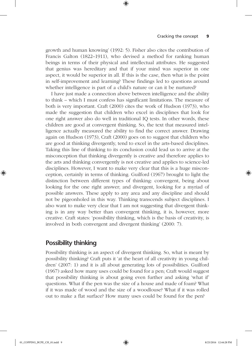growth and human knowing' (1992: 5). Fisher also cites the contribution of Francis Galton (1822–1911), who devised a method for ranking human beings in terms of their physical and intellectual attributes. He suggested that genius was hereditary and that if your mind was superior in one aspect, it would be superior in all. If this is the case, then what is the point in self-improvement and learning? These findings led to questions around whether intelligence is part of a child's nature or can it be nurtured?

 $\textcircled{\scriptsize{*}}$ 

I have just made a connection above between intelligence and the ability to think – which I must confess has significant limitations. The measure of both is very important. Craft (2000) cites the work of Hudson (1973), who made the suggestion that children who excel in disciplines that look for one right answer also do well in traditional IQ tests. In other words, these children are good at convergent thinking. So, the text that measured intelligence actually measured the ability to find the correct answer. Drawing again on Hudson (1973), Craft (2000) goes on to suggest that children who are good at thinking divergently, tend to excel in the arts-based disciplines. Taking this line of thinking to its conclusion could lead us to arrive at the misconception that thinking divergently is creative and therefore applies to the arts and thinking convergently is not creative and applies to science-led disciplines. However, I want to make very clear that this is a huge misconception, certainly in terms of thinking. Guilford (1967) brought to light the distinction between different types of thinking: convergent, being about looking for the one right answer; and divergent, looking for a myriad of possible answers. These apply to any area and any discipline and should not be pigeonholed in this way. Thinking transcends subject disciplines. I also want to make very clear that I am not suggesting that divergent thinking is in any way better than convergent thinking, it is, however, more creative. Craft states: 'possibility thinking, which is the basis of creativity, is involved in both convergent and divergent thinking' (2000: 7).

# **Possibility thinking**

Possibility thinking is an aspect of divergent thinking. So, what is meant by possibility thinking? Craft puts it 'at the heart of all creativity in young children' (2007: 1) and it is all about generating lots of possibilities. Guilford (1967) asked how many uses could be found for a pen; Craft would suggest that possibility thinking is about going even further and asking 'what if' questions. What if the pen was the size of a house and made of foam? What if it was made of wood and the size of a woodlouse? What if it was rolled out to make a flat surface? How many uses could be found for the pen?

♠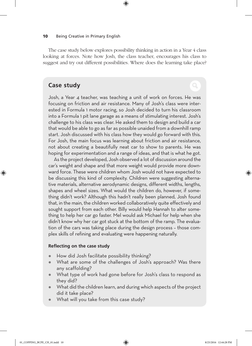The case study below explores possibility thinking in action in a Year 4 class looking at forces. Note how Josh, the class teacher, encourages his class to suggest and try out different possibilities. Where does the learning take place?

 $\textcircled{\scriptsize{*}}$ 

### **Case study**

Josh, a Year 4 teacher, was teaching a unit of work on forces. He was focusing on friction and air resistance. Many of Josh's class were interested in Formula 1 motor racing, so Josh decided to turn his classroom into a Formula 1 pit lane garage as a means of stimulating interest. Josh's challenge to his class was clear. He asked them to design and build a car that would be able to go as far as possible unaided from a downhill ramp start. Josh discussed with his class how they would go forward with this. For Josh, the main focus was learning about friction and air resistance, not about creating a beautifully neat car to show to parents. He was hoping for experimentation and a range of ideas, and that is what he got.

As the project developed, Josh observed a lot of discussion around the car's weight and shape and that more weight would provide more downward force. These were children whom Josh would not have expected to be discussing this kind of complexity. Children were suggesting alternative materials, alternative aerodynamic designs, different widths, lengths, shapes and wheel sizes. What would the children do, however, if something didn't work? Although this hadn't really been planned, Josh found that, in the main, the children worked collaboratively quite effectively and sought support from each other. Billy would help Hannah to alter something to help her car go faster. Mel would ask Michael for help when she didn't know why her car got stuck at the bottom of the ramp. The evaluation of the cars was taking place during the design process – those complex skills of refining and evaluating were happening naturally.

#### **Reflecting on the case study**

- How did Josh facilitate possibility thinking?
- What are some of the challenges of Josh's approach? Was there any scaffolding?
- What type of work had gone before for Josh's class to respond as they did?
- <sup>z</sup> What did the children learn, and during which aspects of the project did it take place?
- What will you take from this case study?

⊕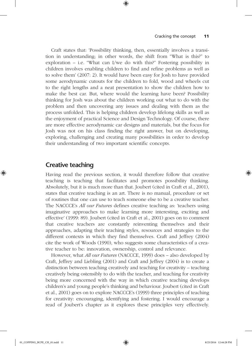Craft states that: 'Possibility thinking, then, essentially involves a transition in understanding; in other words, the shift from "What is this?" to exploration – i.e. "What can I/we do with this?" Fostering possibility in children involves enabling children to find and refine problems as well as to solve them' (2007: 2). It would have been easy for Josh to have provided some aerodynamic cutouts for the children to fold, wood and wheels cut to the right lengths and a neat presentation to show the children how to make the best car. But, where would the learning have been? Possibility thinking for Josh was about the children working out what to do with the problem and then uncovering any issues and dealing with them as the process unfolded. This is helping children develop lifelong skills as well as the enjoyment of practical Science and Design Technology. Of course, there are more effective aerodynamic car designs and materials, but the focus for Josh was not on his class finding the right answer, but on developing, exploring, challenging and creating many possibilities in order to develop their understanding of two important scientific concepts.

 $\textcircled{\scriptsize{*}}$ 

# **Creative teaching**

♠

Having read the previous section, it would therefore follow that creative teaching is teaching that facilitates and promotes possibility thinking. Absolutely, but it is much more than that. Joubert (cited in Craft et al., 2001), states that creative teaching is an art. There is no manual, procedure or set of routines that one can use to teach someone else to be a creative teacher. The NACCCE's *All our Futures* defines creative teaching as: 'teachers using imaginative approaches to make learning more interesting, exciting and effective' (1999: 89). Joubert (cited in Craft et al., 2001) goes on to comment that creative teachers are constantly reinventing themselves and their approaches, adapting their teaching styles, resources and strategies to the different contexts in which they find themselves. Craft and Jeffrey (2004) cite the work of Woods (1990), who suggests some characteristics of a creative teacher to be: innovation, ownership, control and relevance.

However, what *All our Futures* (NACCCE, 1999) does – also developed by Craft, Jeffrey and Liebling (2001) and Craft and Jeffrey (2004) is to create a distinction between teaching creatively and teaching for creativity – teaching creatively being ostensibly to do with the teacher, and teaching for creativity being more concerned with the way in which creative teaching develops children's and young people's thinking and behaviour. Joubert (cited in Craft et al., 2001) goes on to explore NACCCE's (1999) three principles of teaching for creativity: encouraging, identifying and fostering. I would encourage a read of Joubert's chapter as it explores these principles very effectively.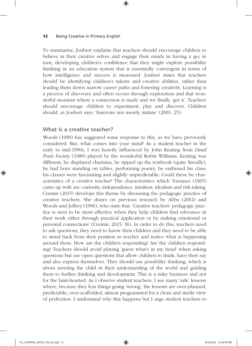To summarise, Joubert explains that teachers should encourage children to believe in their creative selves and engage their minds in having a go; in turn, developing children's confidence that they might explore possibility thinking in an education system that is essentially convergent in terms of how intelligence and success is measured. Joubert states that teachers should be identifying children's talents and creative abilities, rather than leading them down narrow career paths and fostering creativity. Learning is a process of discovery and often occurs through exploration and that wonderful moment where a connection is made and we finally 'get it'. Teachers should encourage children to experiment, play and discover. Children should, as Joubert says, 'Innovate not merely imitate' (2001: 25).

 $\textcircled{\scriptsize{*}}$ 

#### **What is a creative teacher?**

Woods (1990) has suggested some response to this, as we have previously considered. But, what comes into your mind? As a student teacher in the early to mid-1990s, I was heavily influenced by John Keating from *Dead Poets Society* (1989) played by the wonderful Robin Williams. Keating was different, he displayed charisma, he ripped up the textbook (quite literally), he had boys standing on tables, performing poetry, he enthused his class; his classes were fascinating and slightly unpredictable. Could these be characteristics of a creative teacher? The characteristics which Torrance (1965) came up with are: curiosity, independence, intuition, idealism and risk-taking. Cremin (2015) develops this theme by discussing the pedagogic practice of creative teachers. She draws on previous research by Abbs (2002) and Woods and Jeffrey (1996), who state that: 'Creative teachers' pedagogic practice is seen to be most effective when they help children find relevance in their work either through practical application or by making emotional or personal connections' (Cremin, 2015: 36). In order to do this, teachers need to ask questions, they need to know their children and they need to be able to stand back from their position as teacher and notice what is happening around them. How are the children responding? Are the children responding? Teachers should avoid playing 'guess what's in my head' when asking questions but use open questions that allow children to think, have their say and also express themselves. They should use possibility thinking, which is about meeting the child in their understanding of the world and guiding them to further thinking and development. This is a risky business and not for the faint-hearted. As I observe student teachers, I see many 'safe' lessons where, because they fear things going 'wrong', the lessons are over-planned, predictable, over-scaffolded, almost programmed for a clean and sterile view of perfection. I understand why this happens but I urge student teachers to

♠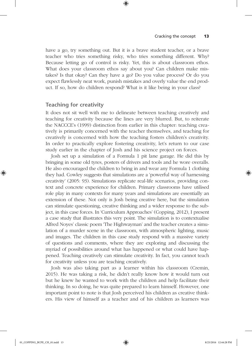have a go, try something out. But it is a brave student teacher, or a brave teacher who tries something risky, who tries something different. Why? Because letting go of control is risky. Yet, this is about classroom ethos. What does your classroom ethos say about you? Can children make mistakes? Is that okay? Can they have a go? Do you value process? Or do you expect flawlessly neat work, punish mistakes and overly value the end product. If so, how do children respond? What is it like being in your class?

 $\textcircled{\scriptsize{*}}$ 

#### **Teaching for creativity**

It does not sit well with me to delineate between teaching creatively and teaching for creativity because the lines are very blurred. But, to reiterate the NACCCE's (1999) distinction from earlier in this chapter: teaching creatively is primarily concerned with the teacher themselves, and teaching for creatively is concerned with how the teaching fosters children's creativity. In order to practically explore fostering creativity, let's return to our case study earlier in the chapter of Josh and his science project on forces.

Josh set up a simulation of a Formula 1 pit lane garage. He did this by bringing in some old tyres, posters of drivers and tools and he wore overalls. He also encouraged the children to bring in and wear any Formula 1 clothing they had. Cowley suggests that simulations are a 'powerful way of harnessing creativity' (2005: 93). Simulations replicate real-life scenarios, providing context and concrete experience for children. Primary classrooms have utilised role play in many contexts for many years and simulations are essentially an extension of these. Not only is Josh being creative here, but the simulation can stimulate questioning, creative thinking and a wider response to the subject, in this case forces. In 'Curriculum Approaches' (Copping, 2012), I present a case study that illustrates this very point. The simulation is to contextualise Alfred Noyes' classic poem 'The Highwayman' and the teacher creates a simulation of a murder scene in the classroom, with atmospheric lighting, music and images. The children in this case study respond with a massive variety of questions and comments, where they are exploring and discussing the myriad of possibilities around what has happened or what could have happened. Teaching creatively can stimulate creativity. In fact, you cannot teach for creativity unless you are teaching creatively.

Josh was also taking part as a learner within his classroom (Cremin, 2015). He was taking a risk, he didn't really know how it would turn out but he knew he wanted to work with the children and help facilitate their thinking. In so doing, he was quite prepared to learn himself. However, one important point to note is that Josh perceived his children as creative thinkers. His view of himself as a teacher and of his children as learners was

♠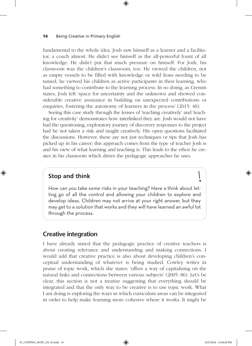fundamental to the whole idea. Josh saw himself as a learner and a facilitator, a coach almost. He didn't see himself as the all-powerful fount of all knowledge. He didn't put that much pressure on himself. For Josh, his classroom was the children's classroom, too. He viewed the children, not as empty vessels to be filled with knowledge or wild lions needing to be tamed; he viewed his children as active participants in their learning, who had something to contribute to the learning process. In so doing, as Cremin states, Josh left 'space for uncertainty and the unknown and showed considerable creative assurance in building on unexpected contributions or enquiries, fostering the autonomy of learners in the process' (2015: 40).

 $\textcircled{\scriptsize{*}}$ 

Seeing this case study through the lenses of 'teaching creatively' and 'teaching for creativity' demonstrates how interlinked they are. Josh would not have had the questioning, exploratory journey of discovery responses to the project had he not taken a risk and taught creatively. His open questions facilitated the discussions. However, these are not just techniques or tips that Josh has picked up in his career; this approach comes from the type of teacher Josh is and his view of what learning and teaching is. This leads to the ethos he creates in his classroom which drives the pedagogic approaches he uses.

### **Stop and think**

♠

How can you take some risks in your teaching? Have a think about letting go of all the control and allowing your children to explore and develop ideas. Children may not arrive at your right answer, but they may get to a solution that works and they will have learned an awful lot through the process.

# **Creative integration**

I have already stated that the pedagogic practice of creative teachers is about creating relevance and understanding and making connections. I would add that creative practice is also about developing children's conceptual understanding of whatever is being studied. Cowley writes in praise of topic work, which she states: 'offers a way of capitalising on the natural links and connections between various subjects' (2005: 86). Let's be clear, this section is not a treatise suggesting that everything should be integrated and that the only way to be creative is to use topic work. What I am doing is exploring the ways in which curriculum areas can be integrated in order to help make learning more cohesive where it works. It might be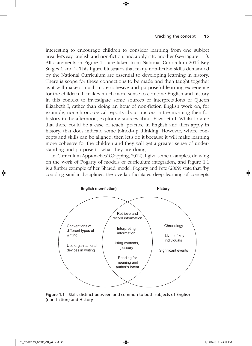interesting to encourage children to consider learning from one subject area, let's say English and non-fiction, and apply it to another (see Figure 1.1). All statements in Figure 1.1 are taken from National Curriculum 2014 Key Stages 1 and 2. This figure illustrates that many non-fiction skills demanded by the National Curriculum are essential to developing learning in history. There is scope for these connections to be made and then taught together as it will make a much more cohesive and purposeful learning experience for the children. It makes much more sense to combine English and history in this context to investigate some sources or interpretations of Queen Elizabeth I, rather than doing an hour of non-fiction English work on, for example, non-chronological reports about tractors in the morning then for history in the afternoon, exploring sources about Elizabeth I. Whilst I agree that there could be a case of teach, practice in English and then apply in history, that does indicate some joined-up thinking. However, where concepts and skills can be aligned, then let's do it because it will make learning more cohesive for the children and they will get a greater sense of understanding and purpose to what they are doing.

 $\bigoplus$ 

In 'Curriculum Approaches' (Copping, 2012), I give some examples, drawing on the work of Fogarty of models of curriculum integration, and Figure 1.1 is a further example of her 'Shared' model. Fogarty and Pete (2009) state that: 'by coupling similar disciplines, the overlap facilitates deep learning of concepts



**Figure 1.1** Skills distinct between and common to both subjects of English (non-fiction) and History

⊕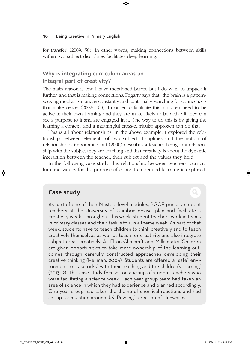for transfer' (2009: 58). In other words, making connections between skills within two subject disciplines facilitates deep learning.

⊕

# **Why is integrating curriculum areas an integral part of creativity?**

The main reason is one I have mentioned before but I do want to unpack it further, and that is making connections. Fogarty says that: 'the brain is a patternseeking mechanism and is constantly and continually searching for connections that make sense' (2002: 160). In order to facilitate this, children need to be active in their own learning and they are more likely to be active if they can see a purpose to it and are engaged in it. One way to do this is by giving the learning a context, and a meaningful cross-curricular approach can do that.

This is all about relationships. In the above example, I explored the relationship between elements of two subject disciplines and the notion of relationship is important. Craft (2000) describes a teacher being in a relationship with the subject they are teaching and that creativity is about the dynamic interaction between the teacher, their subject and the values they hold.

In the following case study, this relationship between teachers, curriculum and values for the purpose of context-embedded learning is explored.

# **Case study**

♠

As part of one of their Masters-level modules, PGCE primary student teachers at the University of Cumbria devise, plan and facilitate a creativity week. Throughout this week, student teachers work in teams in primary classes and their task is to run a theme week. As part of that week, students have to teach children to think creatively and to teach creatively themselves as well as teach for creativity and also integrate subject areas creatively. As Elton-Chalcraft and Mills state: 'Children are given opportunities to take more ownership of the learning outcomes through carefully constructed approaches developing their creative thinking (Heilman, 2005). Students are offered a "safe" environment to "take risks" with their teaching and the children's learning' (2013: 2). This case study focuses on a group of student teachers who were facilitating a science week. Each year group team had taken an area of science in which they had experience and planned accordingly. One year group had taken the theme of chemical reactions and had set up a simulation around J.K. Rowling's creation of Hogwarts.

01\_COPPING\_BCPE\_CH\_01.indd 16 8/25/2016 12:44:28 PM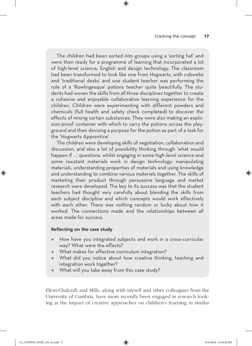The children had been sorted into groups using a 'sorting hat' and were then ready for a programme of learning that incorporated a lot of high-level science, English and design technology. The classroom had been transformed to look like one from Hogwarts, with cobwebs and 'traditional desks' and one student teacher was performing the role of a 'Rowlingesque' potions teacher quite beautifully. The students had woven the skills from all three disciplines together to create a cohesive and enjoyable collaborative learning experience for the children. Children were experimenting with different powders and chemicals (full health and safety check completed) to discover the effects of mixing certain substances. They were also making an explosion-proof container with which to carry the potions across the playground and then devising a purpose for the potion as part of a task for the 'Hogwarts Apprentice'.

 $\textcircled{\scriptsize{*}}$ 

The children were developing skills of negotiation, collaboration and discussion, and also a lot of possibility thinking through 'what would happen if …' questions, whilst engaging in some high-level science and some resistant materials work in design technology: manipulating materials, understanding properties of materials and using knowledge and understanding to combine various materials together. The skills of marketing their product through persuasive language and market research were developed. The key to its success was that the student teachers had thought very carefully about blending the skills from each subject discipline and which concepts would work effectively with each other. There was nothing random or lucky about how it worked. The connections made and the relationships between all areas made for success.

#### **Reflecting on the case study**

- How have you integrated subjects and work in a cross-curricular way? What were the effects?
- What makes for effective curriculum integration?
- What did you notice about how creative thinking, teaching and integration work together?
- What will you take away from this case study?

Elton-Chalcraft and Mills, along with myself and other colleagues from the University of Cumbria, have more recently been engaged in research looking at the impact of creative approaches on children's learning in similar

01\_COPPING\_BCPE\_CH\_01.indd 17 8/25/2016 12:44:28 PM

⊕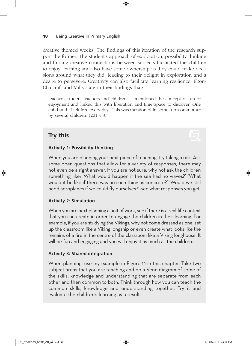creative themed weeks. The findings of this iteration of the research support the former. The student's approach of exploration, possibility thinking and finding creative connections between subjects facilitated the children to enjoy learning and also have some ownership as they could make decisions around what they did, leading to their delight in exploration and a desire to persevere. Creativity can also facilitate learning resilience. Elton-Chalcraft and Mills state in their findings that:

 $\textcircled{\scriptsize{*}}$ 

teachers, student teachers and children … mentioned the concept of fun or enjoyment and linked this with liberation and time/space to discover. One child said: 'I felt free every day.' This was mentioned in some form or another by several children. (2013: 8)

# **Try this**

♠

#### **Activity 1: Possibility thinking**

When you are planning your next piece of teaching, try taking a risk. Ask some open questions that allow for a variety of responses, there may not even be a right answer. If you are not sure, why not ask the children something like: 'What would happen if the sea had no waves?' 'What would it be like if there was no such thing as concrete?' 'Would we still need aeroplanes if we could fly ourselves?' See what responses you get.

#### **Activity 2: Simulation**

When you are next planning a unit of work, see if there is a real-life context that you can create in order to engage the children in their learning. For example, if you are studying the Vikings, why not come dressed as one, set up the classroom like a Viking longship or even create what looks like the remains of a fire in the centre of the classroom like a Viking longhouse. It will be fun and engaging and you will enjoy it as much as the children.

#### **Activity 3: Shared integration**

When planning, use my example in Figure 1.1 in this chapter. Take two subject areas that you are teaching and do a Venn diagram of some of the skills, knowledge and understanding that are separate from each other and then common to both. Think through how you can teach the common skills, knowledge and understanding together. Try it and evaluate the children's learning as a result.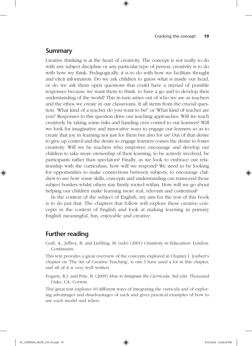# **Summary**

Creative thinking is at the heart of creativity. The concept is not really to do with any subject discipline or any particular type of person, creativity is to do with how we think. Pedagogically, it is to do with how we facilitate thought and elicit information. Do we ask children to guess what is inside our head, or do we ask them open questions that could have a myriad of possible responses because we want them to think, to have a go and to develop their understanding of the world? This in turn arises out of who we are as teachers and the ethos we create in our classrooms. It all stems from the crucial question: 'What kind of a teacher do you want to be?' or 'What kind of teacher are you?' Responses to this question drive our teaching approaches. Will we teach creatively by taking some risks and handing over control to our learners? Will we look for imaginative and innovative ways to engage our learners so as to create that joy in learning not just for them but also for us? Out of that desire to give up control and the desire to engage learners comes the desire to foster creativity. Will we be teachers who empower, encourage and develop our children to take more ownership of their learning, to be actively involved, be participants rather than spectators? Finally, as we look to embrace our relationship with the curriculum, how will we respond? We need to be looking for opportunities to make connections between subjects, to encourage children to see how some skills, concepts and understanding can transcend those subject borders whilst others stay firmly rooted within. How will we go about helping our children make learning more real, relevant and contextual?

 $\textcircled{\scriptsize{*}}$ 

In the context of the subject of English, my aim for the rest of this book is to do just that. The chapters that follow will explore these creative concepts in the context of English and look at making learning in primary English meaningful, fun, enjoyable and creative.

# **Further reading**

Craft, A., Jeffrey, B. and Liebling, M. (eds) (2001) *Creativity in Education*. London: Continuum.

This text provides a great overview of the concepts explored in Chapter 1. Joubert's chapter on 'The Art of Creative Teaching', is one I have used a lot in this chapter, and all of it is very well written.

Fogarty, R.J. and Pete, B. (2009) *How to Integrate the Curricula*, 3rd edn. Thousand Oaks, CA: Corwin.

This great text explores 10 different ways of integrating the curricula and of exploring advantages and disadvantages of each and gives practical examples of how to use each model and when.

♠